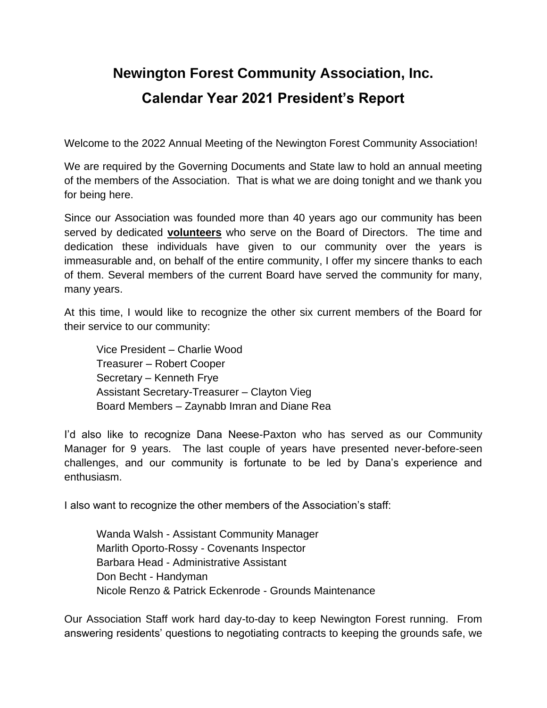## **Newington Forest Community Association, Inc. Calendar Year 2021 President's Report**

Welcome to the 2022 Annual Meeting of the Newington Forest Community Association!

We are required by the Governing Documents and State law to hold an annual meeting of the members of the Association. That is what we are doing tonight and we thank you for being here.

Since our Association was founded more than 40 years ago our community has been served by dedicated **volunteers** who serve on the Board of Directors. The time and dedication these individuals have given to our community over the years is immeasurable and, on behalf of the entire community, I offer my sincere thanks to each of them. Several members of the current Board have served the community for many, many years.

At this time, I would like to recognize the other six current members of the Board for their service to our community:

Vice President – Charlie Wood Treasurer – Robert Cooper Secretary – Kenneth Frye Assistant Secretary-Treasurer – Clayton Vieg Board Members – Zaynabb Imran and Diane Rea

I'd also like to recognize Dana Neese-Paxton who has served as our Community Manager for 9 years. The last couple of years have presented never-before-seen challenges, and our community is fortunate to be led by Dana's experience and enthusiasm.

I also want to recognize the other members of the Association's staff:

Wanda Walsh - Assistant Community Manager Marlith Oporto-Rossy - Covenants Inspector Barbara Head - Administrative Assistant Don Becht - Handyman Nicole Renzo & Patrick Eckenrode - Grounds Maintenance

Our Association Staff work hard day-to-day to keep Newington Forest running. From answering residents' questions to negotiating contracts to keeping the grounds safe, we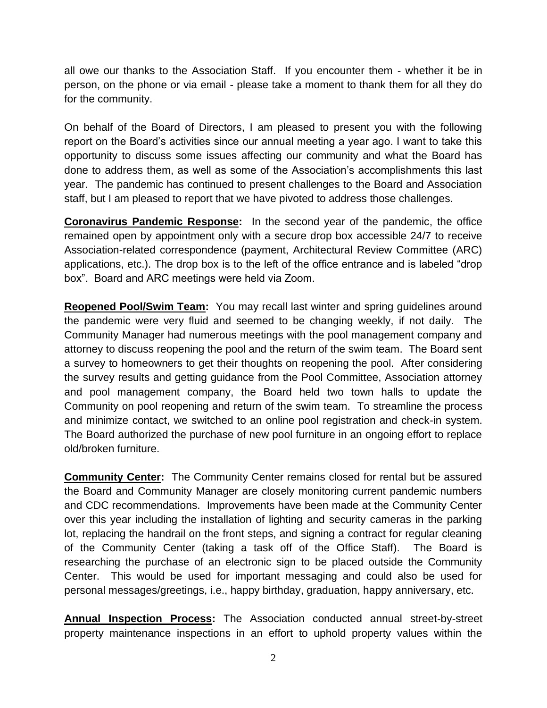all owe our thanks to the Association Staff. If you encounter them - whether it be in person, on the phone or via email - please take a moment to thank them for all they do for the community.

On behalf of the Board of Directors, I am pleased to present you with the following report on the Board's activities since our annual meeting a year ago. I want to take this opportunity to discuss some issues affecting our community and what the Board has done to address them, as well as some of the Association's accomplishments this last year. The pandemic has continued to present challenges to the Board and Association staff, but I am pleased to report that we have pivoted to address those challenges.

**Coronavirus Pandemic Response:** In the second year of the pandemic, the office remained open by appointment only with a secure drop box accessible 24/7 to receive Association-related correspondence (payment, Architectural Review Committee (ARC) applications, etc.). The drop box is to the left of the office entrance and is labeled "drop box". Board and ARC meetings were held via Zoom.

**Reopened Pool/Swim Team:** You may recall last winter and spring guidelines around the pandemic were very fluid and seemed to be changing weekly, if not daily. The Community Manager had numerous meetings with the pool management company and attorney to discuss reopening the pool and the return of the swim team. The Board sent a survey to homeowners to get their thoughts on reopening the pool. After considering the survey results and getting guidance from the Pool Committee, Association attorney and pool management company, the Board held two town halls to update the Community on pool reopening and return of the swim team. To streamline the process and minimize contact, we switched to an online pool registration and check-in system. The Board authorized the purchase of new pool furniture in an ongoing effort to replace old/broken furniture.

**Community Center:** The Community Center remains closed for rental but be assured the Board and Community Manager are closely monitoring current pandemic numbers and CDC recommendations. Improvements have been made at the Community Center over this year including the installation of lighting and security cameras in the parking lot, replacing the handrail on the front steps, and signing a contract for regular cleaning of the Community Center (taking a task off of the Office Staff). The Board is researching the purchase of an electronic sign to be placed outside the Community Center. This would be used for important messaging and could also be used for personal messages/greetings, i.e., happy birthday, graduation, happy anniversary, etc.

**Annual Inspection Process:** The Association conducted annual street-by-street property maintenance inspections in an effort to uphold property values within the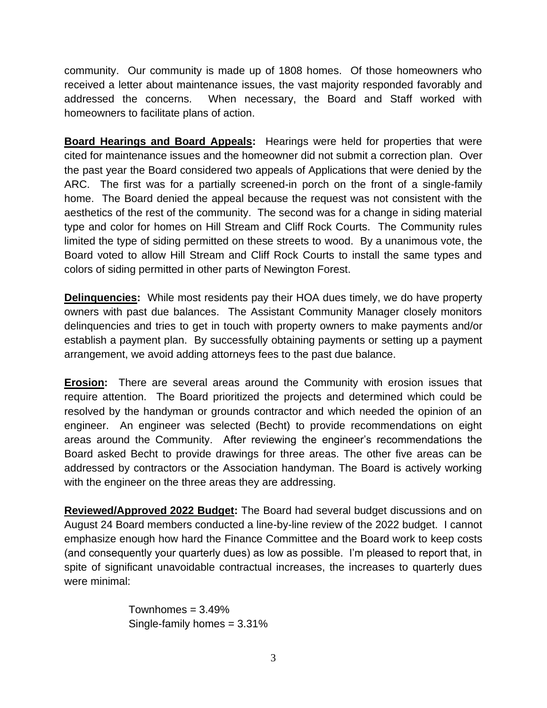community. Our community is made up of 1808 homes. Of those homeowners who received a letter about maintenance issues, the vast majority responded favorably and addressed the concerns. When necessary, the Board and Staff worked with homeowners to facilitate plans of action.

**Board Hearings and Board Appeals:** Hearings were held for properties that were cited for maintenance issues and the homeowner did not submit a correction plan. Over the past year the Board considered two appeals of Applications that were denied by the ARC. The first was for a partially screened-in porch on the front of a single-family home. The Board denied the appeal because the request was not consistent with the aesthetics of the rest of the community. The second was for a change in siding material type and color for homes on Hill Stream and Cliff Rock Courts. The Community rules limited the type of siding permitted on these streets to wood. By a unanimous vote, the Board voted to allow Hill Stream and Cliff Rock Courts to install the same types and colors of siding permitted in other parts of Newington Forest.

**Delinquencies:** While most residents pay their HOA dues timely, we do have property owners with past due balances. The Assistant Community Manager closely monitors delinquencies and tries to get in touch with property owners to make payments and/or establish a payment plan. By successfully obtaining payments or setting up a payment arrangement, we avoid adding attorneys fees to the past due balance.

**Erosion:** There are several areas around the Community with erosion issues that require attention. The Board prioritized the projects and determined which could be resolved by the handyman or grounds contractor and which needed the opinion of an engineer. An engineer was selected (Becht) to provide recommendations on eight areas around the Community. After reviewing the engineer's recommendations the Board asked Becht to provide drawings for three areas. The other five areas can be addressed by contractors or the Association handyman. The Board is actively working with the engineer on the three areas they are addressing.

**Reviewed/Approved 2022 Budget:** The Board had several budget discussions and on August 24 Board members conducted a line-by-line review of the 2022 budget. I cannot emphasize enough how hard the Finance Committee and the Board work to keep costs (and consequently your quarterly dues) as low as possible. I'm pleased to report that, in spite of significant unavoidable contractual increases, the increases to quarterly dues were minimal:

> Townhomes  $= 3.49\%$ Single-family homes = 3.31%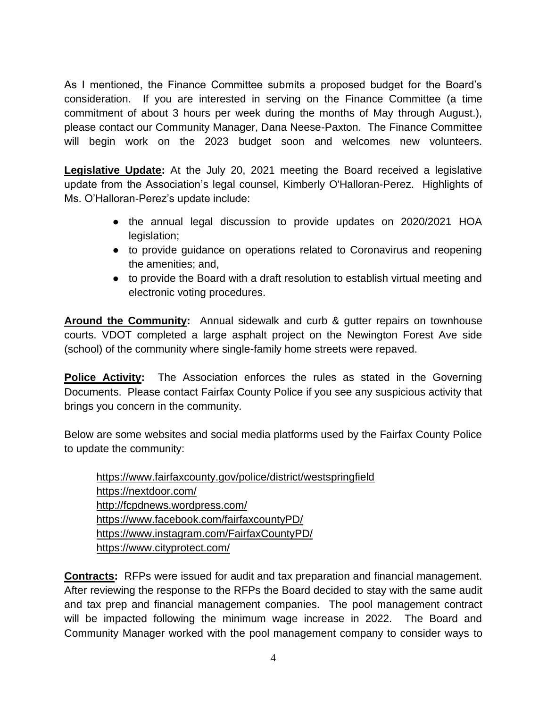As I mentioned, the Finance Committee submits a proposed budget for the Board's consideration. If you are interested in serving on the Finance Committee (a time commitment of about 3 hours per week during the months of May through August.), please contact our Community Manager, Dana Neese-Paxton. The Finance Committee will begin work on the 2023 budget soon and welcomes new volunteers.

**Legislative Update:** At the July 20, 2021 meeting the Board received a legislative update from the Association's legal counsel, Kimberly O'Halloran-Perez. Highlights of Ms. O'Halloran-Perez's update include:

- the annual legal discussion to provide updates on 2020/2021 HOA legislation;
- to provide guidance on operations related to Coronavirus and reopening the amenities; and,
- to provide the Board with a draft resolution to establish virtual meeting and electronic voting procedures.

**Around the Community:** Annual sidewalk and curb & gutter repairs on townhouse courts. VDOT completed a large asphalt project on the Newington Forest Ave side (school) of the community where single-family home streets were repaved.

**Police Activity:** The Association enforces the rules as stated in the Governing Documents. Please contact Fairfax County Police if you see any suspicious activity that brings you concern in the community.

Below are some websites and social media platforms used by the Fairfax County Police to update the community:

<https://www.fairfaxcounty.gov/police/district/westspringfield> <https://nextdoor.com/> <http://fcpdnews.wordpress.com/> <https://www.facebook.com/fairfaxcountyPD/> <https://www.instagram.com/FairfaxCountyPD/> <https://www.cityprotect.com/>

**Contracts:** RFPs were issued for audit and tax preparation and financial management. After reviewing the response to the RFPs the Board decided to stay with the same audit and tax prep and financial management companies. The pool management contract will be impacted following the minimum wage increase in 2022. The Board and Community Manager worked with the pool management company to consider ways to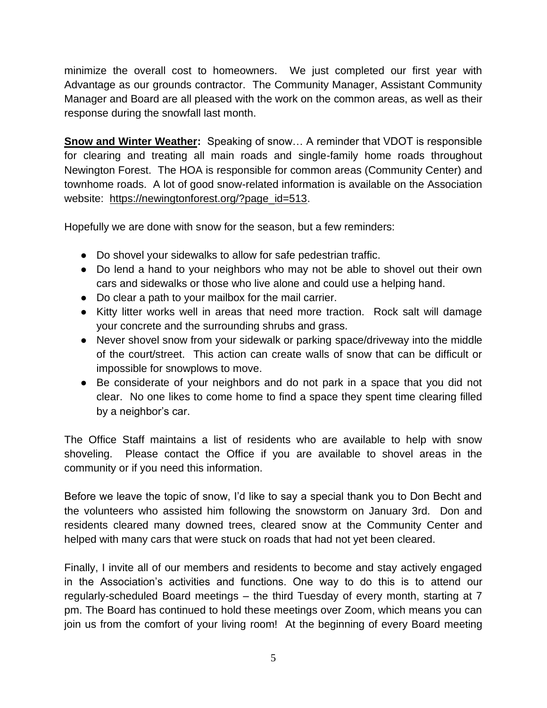minimize the overall cost to homeowners. We just completed our first year with Advantage as our grounds contractor. The Community Manager, Assistant Community Manager and Board are all pleased with the work on the common areas, as well as their response during the snowfall last month.

**Snow and Winter Weather:** Speaking of snow… A reminder that VDOT is responsible for clearing and treating all main roads and single-family home roads throughout Newington Forest. The HOA is responsible for common areas (Community Center) and townhome roads. A lot of good snow-related information is available on the Association website: [https://newingtonforest.org/?page\\_id=513.](https://newingtonforest.org/?page_id=513)

Hopefully we are done with snow for the season, but a few reminders:

- Do shovel your sidewalks to allow for safe pedestrian traffic.
- Do lend a hand to your neighbors who may not be able to shovel out their own cars and sidewalks or those who live alone and could use a helping hand.
- Do clear a path to your mailbox for the mail carrier.
- Kitty litter works well in areas that need more traction. Rock salt will damage your concrete and the surrounding shrubs and grass.
- Never shovel snow from your sidewalk or parking space/driveway into the middle of the court/street. This action can create walls of snow that can be difficult or impossible for snowplows to move.
- Be considerate of your neighbors and do not park in a space that you did not clear. No one likes to come home to find a space they spent time clearing filled by a neighbor's car.

The Office Staff maintains a list of residents who are available to help with snow shoveling. Please contact the Office if you are available to shovel areas in the community or if you need this information.

Before we leave the topic of snow, I'd like to say a special thank you to Don Becht and the volunteers who assisted him following the snowstorm on January 3rd. Don and residents cleared many downed trees, cleared snow at the Community Center and helped with many cars that were stuck on roads that had not yet been cleared.

Finally, I invite all of our members and residents to become and stay actively engaged in the Association's activities and functions. One way to do this is to attend our regularly-scheduled Board meetings – the third Tuesday of every month, starting at 7 pm. The Board has continued to hold these meetings over Zoom, which means you can join us from the comfort of your living room! At the beginning of every Board meeting